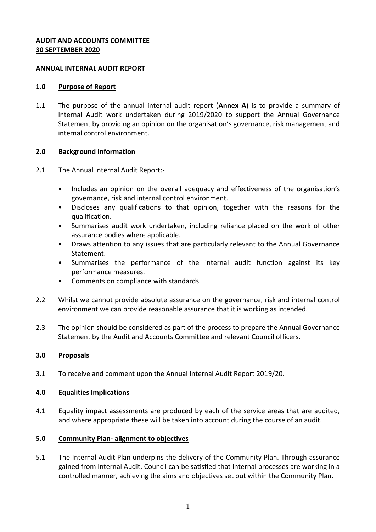### **AUDIT AND ACCOUNTS COMMITTEE 30 SEPTEMBER 2020**

#### **ANNUAL INTERNAL AUDIT REPORT**

#### **1.0 Purpose of Report**

1.1 The purpose of the annual internal audit report (**Annex A**) is to provide a summary of Internal Audit work undertaken during 2019/2020 to support the Annual Governance Statement by providing an opinion on the organisation's governance, risk management and internal control environment.

## **2.0 Background Information**

- 2.1 The Annual Internal Audit Report:-
	- Includes an opinion on the overall adequacy and effectiveness of the organisation's governance, risk and internal control environment.
	- Discloses any qualifications to that opinion, together with the reasons for the qualification.
	- Summarises audit work undertaken, including reliance placed on the work of other assurance bodies where applicable.
	- Draws attention to any issues that are particularly relevant to the Annual Governance Statement.
	- Summarises the performance of the internal audit function against its key performance measures.
	- Comments on compliance with standards.
- 2.2 Whilst we cannot provide absolute assurance on the governance, risk and internal control environment we can provide reasonable assurance that it is working as intended.
- 2.3 The opinion should be considered as part of the process to prepare the Annual Governance Statement by the Audit and Accounts Committee and relevant Council officers.

## **3.0 Proposals**

3.1 To receive and comment upon the Annual Internal Audit Report 2019/20.

#### **4.0 Equalities Implications**

4.1 Equality impact assessments are produced by each of the service areas that are audited, and where appropriate these will be taken into account during the course of an audit.

#### **5.0 Community Plan- alignment to objectives**

5.1 The Internal Audit Plan underpins the delivery of the Community Plan. Through assurance gained from Internal Audit, Council can be satisfied that internal processes are working in a controlled manner, achieving the aims and objectives set out within the Community Plan.